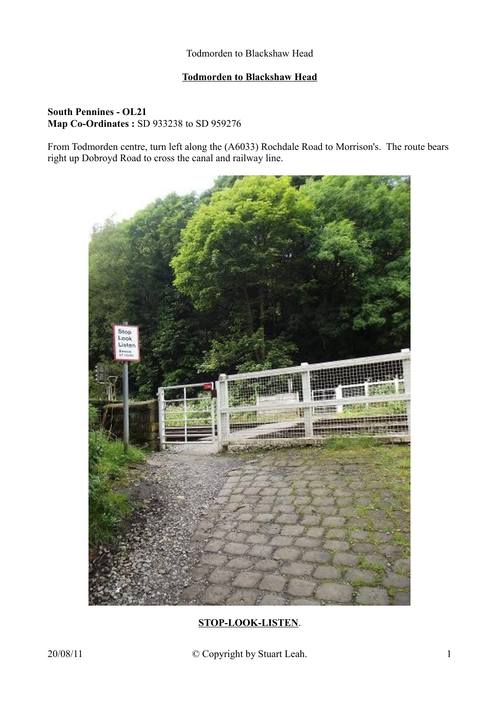### **Todmorden to Blackshaw Head**

### **South Pennines - OL21 Map Co-Ordinates :** SD 933238 to SD 959276

From Todmorden centre, turn left along the (A6033) Rochdale Road to Morrison's. The route bears right up Dobroyd Road to cross the canal and railway line.



# **STOP-LOOK-LISTEN**.

20/08/11 © Copyright by Stuart Leah. 1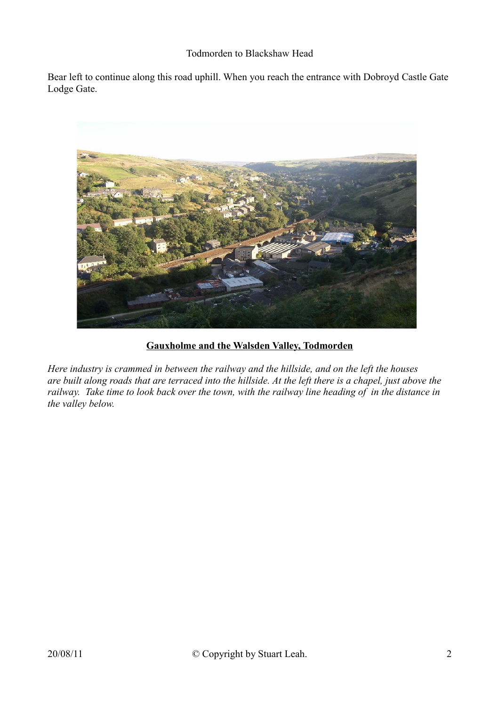Bear left to continue along this road uphill. When you reach the entrance with Dobroyd Castle Gate Lodge Gate.



## **Gauxholme and the Walsden Valley, Todmorden**

*Here industry is crammed in between the railway and the hillside, and on the left the houses are built along roads that are terraced into the hillside. At the left there is a chapel, just above the railway. Take time to look back over the town, with the railway line heading of in the distance in the valley below.*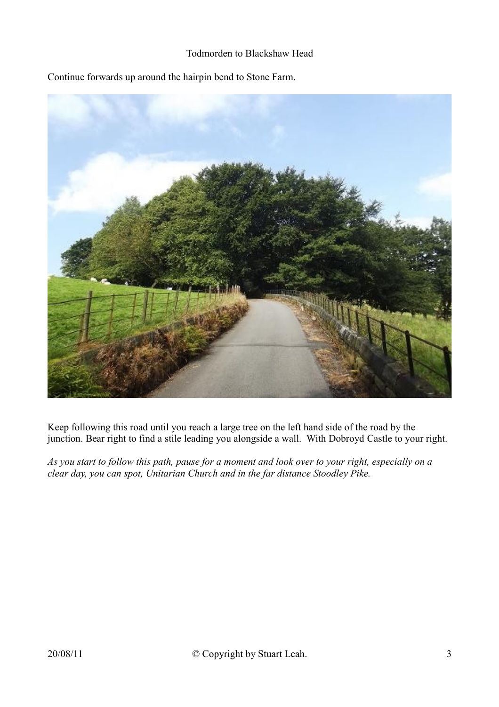Continue forwards up around the hairpin bend to Stone Farm.



Keep following this road until you reach a large tree on the left hand side of the road by the junction. Bear right to find a stile leading you alongside a wall. With Dobroyd Castle to your right.

*As you start to follow this path, pause for a moment and look over to your right, especially on a clear day, you can spot, Unitarian Church and in the far distance Stoodley Pike.*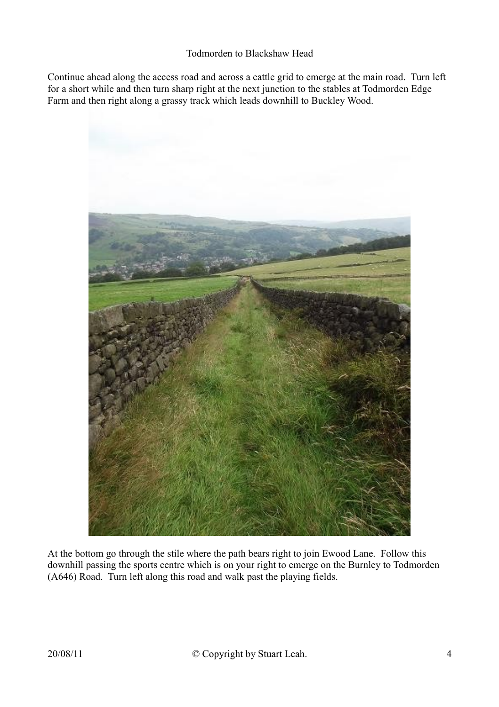Continue ahead along the access road and across a cattle grid to emerge at the main road. Turn left for a short while and then turn sharp right at the next junction to the stables at Todmorden Edge Farm and then right along a grassy track which leads downhill to Buckley Wood.



At the bottom go through the stile where the path bears right to join Ewood Lane. Follow this downhill passing the sports centre which is on your right to emerge on the Burnley to Todmorden (A646) Road. Turn left along this road and walk past the playing fields.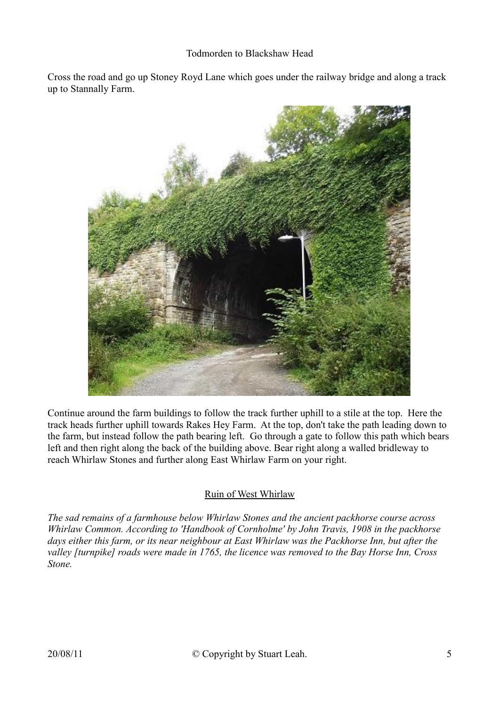Cross the road and go up Stoney Royd Lane which goes under the railway bridge and along a track up to Stannally Farm.



Continue around the farm buildings to follow the track further uphill to a stile at the top. Here the track heads further uphill towards Rakes Hey Farm. At the top, don't take the path leading down to the farm, but instead follow the path bearing left. Go through a gate to follow this path which bears left and then right along the back of the building above. Bear right along a walled bridleway to reach Whirlaw Stones and further along East Whirlaw Farm on your right.

## Ruin of West Whirlaw

*The sad remains of a farmhouse below Whirlaw Stones and the ancient packhorse course across Whirlaw Common. According to 'Handbook of Cornholme' by John Travis, 1908 in the packhorse days either this farm, or its near neighbour at East Whirlaw was the Packhorse Inn, but after the valley [turnpike] roads were made in 1765, the licence was removed to the Bay Horse Inn, Cross Stone.*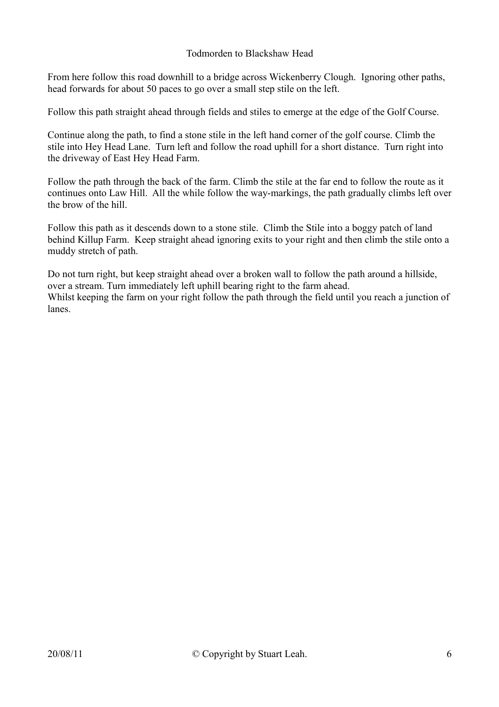From here follow this road downhill to a bridge across Wickenberry Clough. Ignoring other paths, head forwards for about 50 paces to go over a small step stile on the left.

Follow this path straight ahead through fields and stiles to emerge at the edge of the Golf Course.

Continue along the path, to find a stone stile in the left hand corner of the golf course. Climb the stile into Hey Head Lane. Turn left and follow the road uphill for a short distance. Turn right into the driveway of East Hey Head Farm.

Follow the path through the back of the farm. Climb the stile at the far end to follow the route as it continues onto Law Hill. All the while follow the way-markings, the path gradually climbs left over the brow of the hill.

Follow this path as it descends down to a stone stile. Climb the Stile into a boggy patch of land behind Killup Farm. Keep straight ahead ignoring exits to your right and then climb the stile onto a muddy stretch of path.

Do not turn right, but keep straight ahead over a broken wall to follow the path around a hillside, over a stream. Turn immediately left uphill bearing right to the farm ahead. Whilst keeping the farm on your right follow the path through the field until you reach a junction of lanes.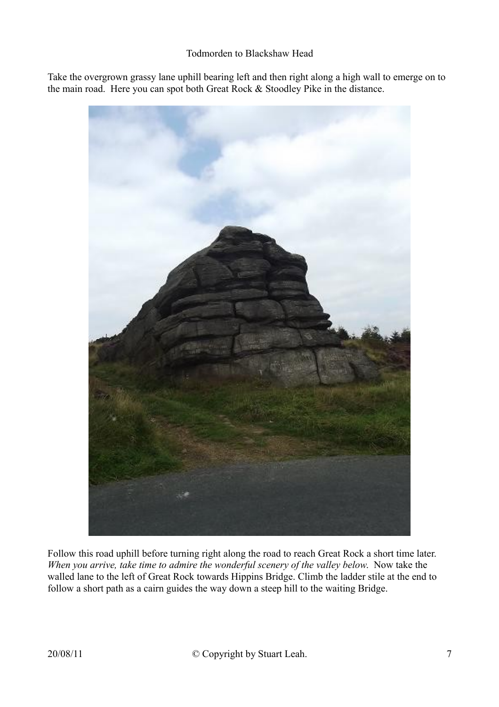Take the overgrown grassy lane uphill bearing left and then right along a high wall to emerge on to the main road. Here you can spot both Great Rock & Stoodley Pike in the distance.



Follow this road uphill before turning right along the road to reach Great Rock a short time later. *When you arrive, take time to admire the wonderful scenery of the valley below*. Now take the walled lane to the left of Great Rock towards Hippins Bridge. Climb the ladder stile at the end to follow a short path as a cairn guides the way down a steep hill to the waiting Bridge.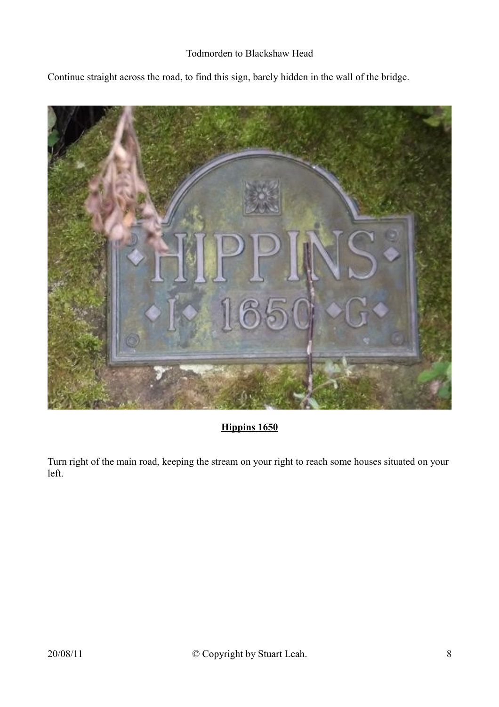Continue straight across the road, to find this sign, barely hidden in the wall of the bridge.



# **Hippins 1650**

Turn right of the main road, keeping the stream on your right to reach some houses situated on your left.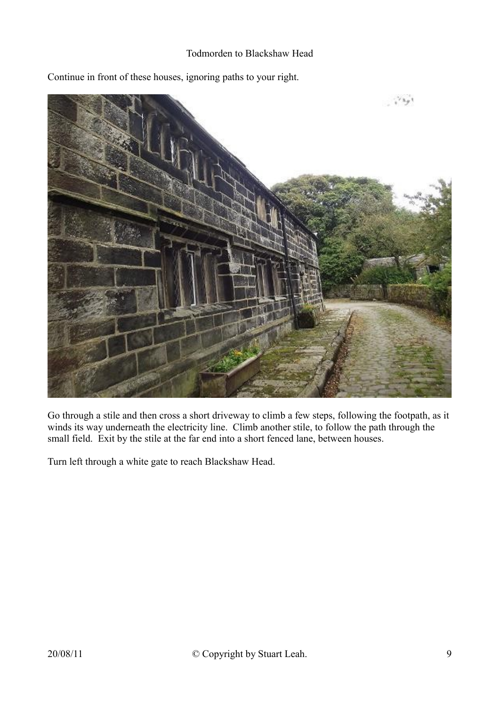

Continue in front of these houses, ignoring paths to your right.

Go through a stile and then cross a short driveway to climb a few steps, following the footpath, as it winds its way underneath the electricity line. Climb another stile, to follow the path through the small field. Exit by the stile at the far end into a short fenced lane, between houses.

Turn left through a white gate to reach Blackshaw Head.